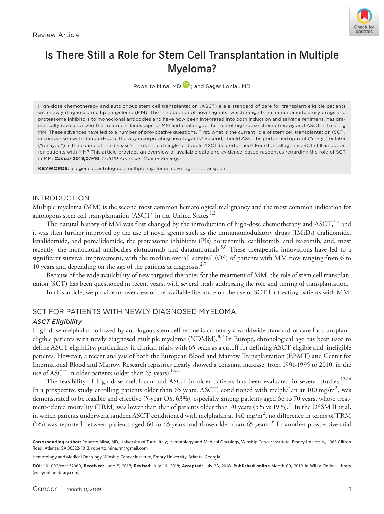

# Is There Still a Role for Stem Cell Transplantation in Multiple Myeloma?

Roberto Mina, MD **D**; and Sagar Lonial, MD

High-dose chemotherapy and autologous stem cell transplantation (ASCT) are a standard of care for transplant-eligible patients with newly diagnosed multiple myeloma (MM). The introduction of novel agents, which range from immunomodulatory drugs and proteasome inhibitors to monoclonal antibodies and have now been integrated into both induction and salvage regimens, has dramatically revolutionized the treatment landscape of MM and challenged the role of high-dose chemotherapy and ASCT in treating MM. These advances have led to a number of provocative questions. First, what is the current role of stem cell transplantation (SCT) in comparison with standard-dose therapy incorporating novel agents? Second, should ASCT be performed upfront ("early") or later ("delayed") in the course of the disease? Third, should single or double ASCT be performed? Fourth, is allogeneic SCT still an option for patients with MM? This article provides an overview of available data and evidence-based responses regarding the role of SCT in MM. *Cancer* **2019;0:1-10**. *© 2019 American Cancer Society*.

**KEYWORDS:** allogeneic, autologous, multiple myeloma, novel agents, transplant.

# INTRODUCTION

Multiple myeloma (MM) is the second most common hematological malignancy and the most common indication for autologous stem cell transplantation (ASCT) in the United States.<sup>1,2</sup>

The natural history of MM was first changed by the introduction of high-dose chemotherapy and ASCT,<sup>3,4</sup> and it was then further improved by the use of novel agents such as the immunomodulatory drugs (IMiDs) thalidomide, lenalidomide, and pomalidomide, the proteasome inhibitors (PIs) bortezomib, carfilzomib, and ixazomib, and, most recently, the monoclonal antibodies elotuzumab and daratumumab.<sup>5,6</sup> These therapeutic innovations have led to a significant survival improvement, with the median overall survival (OS) of patients with MM now ranging from 6 to 10 years and depending on the age of the patients at diagnosis.<sup>2,7</sup>

Because of the wide availability of new targeted therapies for the treatment of MM, the role of stem cell transplantation (SCT) has been questioned in recent years, with several trials addressing the role and timing of transplantation.

In this article, we provide an overview of the available literature on the use of SCT for treating patients with MM.

# SCT FOR PATIENTS WITH NEWLY DIAGNOSED MYELOMA

#### *ASCT Eligibility*

High-dose melphalan followed by autologous stem cell rescue is currently a worldwide standard of care for transplanteligible patients with newly diagnosed multiple myeloma (NDMM).<sup>8,9</sup> In Europe, chronological age has been used to define ASCT eligibility, particularly in clinical trials, with 65 years as a cutoff for defining ASCT-eligible and -ineligible patients. However, a recent analysis of both the European Blood and Marrow Transplantation (EBMT) and Center for International Blood and Marrow Research registries clearly showed a constant increase, from 1991-1995 to 2010, in the use of ASCT in older patients (older than 65 years).<sup>10,11</sup>

The feasibility of high-dose melphalan and ASCT in older patients has been evaluated in several studies.<sup>12-14</sup> In a prospective study enrolling patients older than 65 years, ASCT, conditioned with melphalan at 100 mg/m<sup>2</sup>, was demonstrated to be feasible and effective (5-year OS, 63%), especially among patients aged 66 to 70 years, whose treatment-related mortality (TRM) was lower than that of patients older than 70 years (5% vs 19%).<sup>15</sup> In the DSSM II trial, in which patients underwent tandem ASCT conditioned with melphalan at 140 mg/m $^2$ , no difference in terms of TRM (1%) was reported between patients aged 60 to 65 years and those older than 65 years. 16 In another prospective trial

Hematology and Medical Oncology, Winship Cancer Institute, Emory University, Atlanta, Georgia.

**DOI:** 10.1002/cncr.32060, **Received:** June 5, 2018; **Revised:** July 16, 2018; **Accepted:** July 23, 2018, **Published online** Month 00, 2019 in Wiley Online Library (wileyonlinelibrary.com)

**Corresponding author:** Roberto Mina, MD, University of Turin, Italy; Hematology and Medical Oncology, Winship Cancer Institute, Emory University, 1365 Clifton Road, Atlanta, GA 30322-1013; [roberto.mina.rm@gmail.com](mailto:roberto.mina.rm@gmail.com)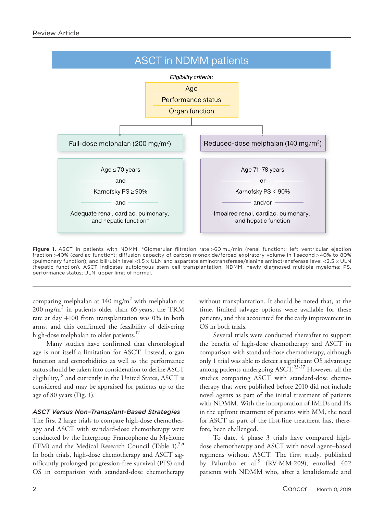

**Figure 1.** ASCT in patients with NDMM. \*Glomerular filtration rate >60 mL/min (renal function); left ventricular ejection fraction >40% (cardiac function); diffusion capacity of carbon monoxide/forced expiratory volume in 1 second >40% to 80% (pulmonary function); and bilirubin level <1.5 × ULN and aspartate aminotransferase/alanine aminotransferase level <2.5 × ULN (hepatic function). ASCT indicates autologous stem cell transplantation; NDMM, newly diagnosed multiple myeloma; PS, performance status; ULN, upper limit of normal.

comparing melphalan at 140 mg/m $^2$  with melphalan at  $200 \text{ mg/m}^2$  in patients older than 65 years, the TRM rate at day +100 from transplantation was 0% in both arms, and this confirmed the feasibility of delivering high-dose melphalan to older patients.<sup>17</sup>

Many studies have confirmed that chronological age is not itself a limitation for ASCT. Instead, organ function and comorbidities as well as the performance status should be taken into consideration to define ASCT eligibility,<sup>18</sup> and currently in the United States, ASCT is considered and may be appraised for patients up to the age of 80 years (Fig. 1).

### *ASCT Versus Non–Transplant-Based Strategies*

The first 2 large trials to compare high-dose chemotherapy and ASCT with standard-dose chemotherapy were conducted by the Intergroup Francophone du Myèlome (IFM) and the Medical Research Council (Table 1). $^{3,4}$ In both trials, high-dose chemotherapy and ASCT significantly prolonged progression-free survival (PFS) and OS in comparison with standard-dose chemotherapy without transplantation. It should be noted that, at the time, limited salvage options were available for these patients, and this accounted for the early improvement in OS in both trials.

Several trials were conducted thereafter to support the benefit of high-dose chemotherapy and ASCT in comparison with standard-dose chemotherapy, although only 1 trial was able to detect a significant OS advantage among patients undergoing  $\text{ASCT}^{23-27}$  However, all the studies comparing ASCT with standard-dose chemotherapy that were published before 2010 did not include novel agents as part of the initial treatment of patients with NDMM. With the incorporation of IMiDs and PIs in the upfront treatment of patients with MM, the need for ASCT as part of the first-line treatment has, therefore, been challenged.

To date, 4 phase 3 trials have compared highdose chemotherapy and ASCT with novel agent–based regimens without ASCT. The first study, published by Palumbo et  $al^{19}$  (RV-MM-209), enrolled 402 patients with NDMM who, after a lenalidomide and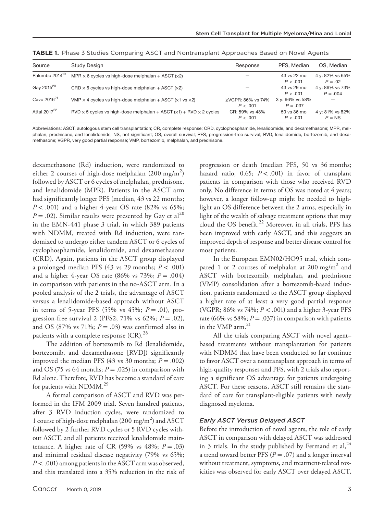| Source                     | <b>Study Design</b>                                                                       | Response          | PFS. Median     | OS, Median      |
|----------------------------|-------------------------------------------------------------------------------------------|-------------------|-----------------|-----------------|
| Palumbo 2014 <sup>19</sup> | MPR $\times$ 6 cycles vs high-dose melphalan + ASCT ( $\times$ 2)                         |                   | 43 vs 22 mo     | 4 y: 82% vs 65% |
|                            |                                                                                           |                   | P < .001        | $P = .02$       |
| Gay 2015 <sup>20</sup>     | $CRD \times 6$ cycles vs high-dose melphalan + ASCT ( $\times$ 2)                         |                   | 43 vs 29 mo     | 4 y: 86% vs 73% |
|                            |                                                                                           |                   | P < .001        | $P = .004$      |
| Cavo 2016 <sup>21</sup>    | VMP $\times$ 4 cycles vs high-dose melphalan + ASCT ( $\times$ 1 vs $\times$ 2)           | >VGPR: 86% vs 74% | 3 y: 66% vs 58% |                 |
|                            |                                                                                           | P < .001          | $P = .037$      |                 |
| Attal 2017 <sup>22</sup>   | $RVD \times 5$ cycles vs high-dose melphalan + ASCT ( $\times$ 1) + RVD $\times$ 2 cycles | CR: 59% vs 48%    | 50 vs 36 mo     | 4 y: 81% vs 82% |
|                            |                                                                                           | P < .001          | P < .001        | $P = NS$        |
|                            |                                                                                           |                   |                 |                 |

**TABLE 1.** Phase 3 Studies Comparing ASCT and Nontransplant Approaches Based on Novel Agents

Abbreviations: ASCT, autologous stem cell transplantation; CR, complete response; CRD, cyclophosphamide, lenalidomide, and dexamethasone; MPR, melphalan, prednisone, and lenalidomide; NS, not significant; OS, overall survival; PFS, progression-free survival; RVD, lenalidomide, bortezomib, and dexamethasone; VGPR, very good partial response; VMP, bortezomib, melphalan, and prednisone.

dexamethasone (Rd) induction, were randomized to either 2 courses of high-dose melphalan (200 mg/m<sup>2</sup>) followed by ASCT or 6 cycles of melphalan, prednisone, and lenalidomide (MPR). Patients in the ASCT arm had significantly longer PFS (median, 43 vs 22 months;  $P < .001$ ) and a higher 4-year OS rate (82% vs 65%;  $P = .02$ ). Similar results were presented by Gay et al<sup>20</sup> in the EMN-441 phase 3 trial, in which 389 patients with NDMM, treated with Rd induction, were randomized to undergo either tandem ASCT or 6 cycles of cyclophosphamide, lenalidomide, and dexamethasone (CRD). Again, patients in the ASCT group displayed a prolonged median PFS (43 vs 29 months; *P* < .001) and a higher 4-year OS rate (86% vs 73%;  $P = .004$ ) in comparison with patients in the no-ASCT arm. In a pooled analysis of the 2 trials, the advantage of ASCT versus a lenalidomide-based approach without ASCT in terms of 5-year PFS (55% vs  $45\%$ ;  $P = .01$ ), progression-free survival 2 (PFS2; 71% vs 62%; *P* = .02), and OS (87% vs 71%;  $P = .03$ ) was confirmed also in patients with a complete response  $(CR).^{28}$ 

The addition of bortezomib to Rd (lenalidomide, bortezomib, and dexamethasone [RVD]) significantly improved the median PFS  $(43 \text{ vs } 30 \text{ months}; P = .002)$ and OS (75 vs 64 months;  $P = .025$ ) in comparison with Rd alone. Therefore, RVD has become a standard of care for patients with  $NDMM.<sup>29</sup>$ 

A formal comparison of ASCT and RVD was performed in the IFM 2009 trial. Seven hundred patients, after 3 RVD induction cycles, were randomized to 1 course of high-dose melphalan (200 mg/m<sup>2</sup>) and ASCT followed by 2 further RVD cycles or 5 RVD cycles without ASCT, and all patients received lenalidomide maintenance. A higher rate of CR (59% vs  $48\%$ ;  $P = .03$ ) and minimal residual disease negativity (79% vs 65%; *P* < .001) among patients in the ASCT arm was observed, and this translated into a 35% reduction in the risk of

progression or death (median PFS, 50 vs 36 months; hazard ratio, 0.65; *P* < .001) in favor of transplant patients in comparison with those who received RVD only. No difference in terms of OS was noted at 4 years; however, a longer follow-up might be needed to highlight an OS difference between the 2 arms, especially in light of the wealth of salvage treatment options that may cloud the OS benefit. $^{22}$  Moreover, in all trials, PFS has been improved with early ASCT, and this suggests an improved depth of response and better disease control for most patients.

In the European EMN02/HO95 trial, which compared 1 or 2 courses of melphalan at 200 mg/m<sup>2</sup> and ASCT with bortezomib, melphalan, and prednisone (VMP) consolidation after a bortezomib-based induction, patients randomized to the ASCT group displayed a higher rate of at least a very good partial response (VGPR; 86% vs 74%; *P* < .001) and a higher 3-year PFS rate (66% vs 58%;  $P = .037$ ) in comparison with patients in the VMP arm.<sup>21</sup>

All the trials comparing ASCT with novel agent– based treatments without transplantation for patients with NDMM that have been conducted so far continue to favor ASCT over a nontransplant approach in terms of high-quality responses and PFS, with 2 trials also reporting a significant OS advantage for patients undergoing ASCT. For these reasons, ASCT still remains the standard of care for transplant-eligible patients with newly diagnosed myeloma.

#### *Early ASCT Versus Delayed ASCT*

Before the introduction of novel agents, the role of early ASCT in comparison with delayed ASCT was addressed in 3 trials. In the study published by Fermand et al,  $^{24}$ a trend toward better PFS  $(P = .07)$  and a longer interval without treatment, symptoms, and treatment-related toxicities was observed for early ASCT over delayed ASCT,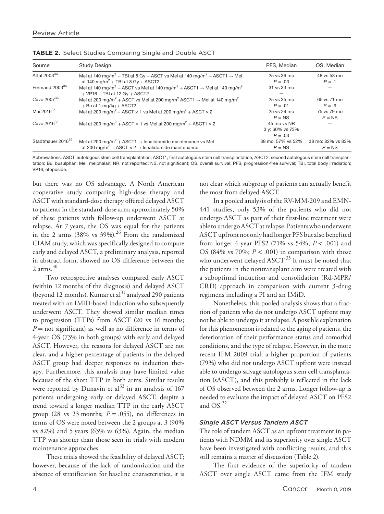| Source                        | <b>Study Design</b>                                                                                                                                                                                         | PFS, Median                                 | OS, Median                    |
|-------------------------------|-------------------------------------------------------------------------------------------------------------------------------------------------------------------------------------------------------------|---------------------------------------------|-------------------------------|
| Attal 2003 $34$               | Mel at 140 mg/m <sup>2</sup> + TBI at 8 Gy + ASCT vs Mel at 140 mg/m <sup>2</sup> + ASCT1 $\rightarrow$ Mel                                                                                                 | 25 vs 36 mo                                 | 48 vs 58 mo                   |
| Fermand 2003 <sup>35</sup>    | at 140 mg/m <sup>2</sup> + TBI at 8 Gy + ASCT2<br>Mel at 140 mg/m <sup>2</sup> + ASCT vs Mel at 140 mg/m <sup>2</sup> + ASCT1 $\rightarrow$ Mel at 140 mg/m <sup>2</sup><br>$+$ VP16 + TBI at 12 Gy + ASCT2 | $P = .03$<br>31 vs 33 mo                    | $P=.1$                        |
| Cavo 200736                   | Mel at 200 mg/m <sup>2</sup> + ASCT vs Mel at 200 mg/m <sup>2</sup> ASCT1 $\rightarrow$ Mel at 140 mg/m <sup>2</sup><br>$+$ Bu at 1 mg/kg $+$ ASCT2                                                         | 25 vs 35 mo<br>$P = .01$                    | 65 vs 71 mo<br>$P=.9$         |
| Mai 2016 <sup>37</sup>        | Mel at 200 mg/m <sup>2</sup> + ASCT $\times$ 1 vs Mel at 200 mg/m <sup>2</sup> + ASCT $\times$ 2                                                                                                            | 25 vs 29 mo<br>$P = NS$                     | 75 ys 79 mo<br>$P = NS$       |
| Cavo 2016 <sup>38</sup>       | Mel at 200 mg/m <sup>2</sup> + ASCT $\times$ 1 vs Mel at 200 mg/m <sup>2</sup> + ASCT1 $\times$ 2                                                                                                           | 45 mo vs NR<br>3 y: 60% vs 73%<br>$P = .03$ |                               |
| Stadtmauer 2016 <sup>39</sup> | Mel at 200 mg/m <sup>2</sup> + ASCT1 $\rightarrow$ lenalidomide maintenance vs Mel<br>at 200 mg/m <sup>2</sup> + ASCT $\times$ 2 $\rightarrow$ lenalidomide maintenance                                     | 38 mo: 57% vs 52%<br>$P = NS$               | 38 mo: 82% vs 83%<br>$P = NS$ |

| TABLE 2. Select Studies Comparing Single and Double ASCT |  |  |  |  |  |  |
|----------------------------------------------------------|--|--|--|--|--|--|
|----------------------------------------------------------|--|--|--|--|--|--|

Abbreviations: ASCT, autologous stem cell transplantation; ASCT1, first autologous stem cell transplantation; ASCT2, second autologous stem cell transplantation; Bu, busulphan; Mel, melphalan; NR, not reported; NS, not significant; OS, overall survival; PFS, progression-free survival; TBI, total body irradiation; VP16, etoposide.

but there was no OS advantage. A North American cooperative study comparing high-dose therapy and ASCT with standard-dose therapy offered delayed ASCT to patients in the standard-dose arm; approximately 50% of these patients with follow-up underwent ASCT at relapse. At 7 years, the OS was equal for the patients in the 2 arms  $(38\% \text{ vs } 39\%).^{26}$  From the randomized CIAM study, which was specifically designed to compare early and delayed ASCT, a preliminary analysis, reported in abstract form, showed no OS difference between the 2 arms. $30$ 

Two retrospective analyses compared early ASCT (within 12 months of the diagnosis) and delayed ASCT (beyond 12 months). Kumar et  $al<sup>31</sup>$  analyzed 290 patients treated with an IMiD-based induction who subsequently underwent ASCT. They showed similar median times to progression (TTPs) from ASCT (20 vs 16 months; *P* = not significant) as well as no difference in terms of 4-year OS (73% in both groups) with early and delayed ASCT. However, the reasons for delayed ASCT are not clear, and a higher percentage of patients in the delayed ASCT group had deeper responses to induction therapy. Furthermore, this analysis may have limited value because of the short TTP in both arms. Similar results were reported by Dunavin et  $al^{32}$  in an analysis of 167 patients undergoing early or delayed ASCT; despite a trend toward a longer median TTP in the early ASCT group (28 vs 23 months;  $P = .055$ ), no differences in terms of OS were noted between the 2 groups at 3 (90% vs 82%) and 5 years (63% vs 63%). Again, the median TTP was shorter than those seen in trials with modern maintenance approaches.

These trials showed the feasibility of delayed ASCT; however, because of the lack of randomization and the absence of stratification for baseline characteristics, it is not clear which subgroup of patients can actually benefit the most from delayed ASCT.

In a pooled analysis of the RV-MM-209 and EMN-441 studies, only 53% of the patients who did not undergo ASCT as part of their first-line treatment were able to undergo ASCT at relapse. Patients who underwent ASCT upfront not only had longer PFS but also benefited from longer 4-year PFS2 (71% vs 54%; *P* < .001) and OS (84% vs 70%;  $P < .001$ ) in comparison with those who underwent delayed ASCT.<sup>33</sup> It must be noted that the patients in the nontransplant arm were treated with a suboptimal induction and consolidation (Rd-MPR/ CRD) approach in comparison with current 3-drug regimens including a PI and an IMiD.

Nonetheless, this pooled analysis shows that a fraction of patients who do not undergo ASCT upfront may not be able to undergo it at relapse. A possible explanation for this phenomenon is related to the aging of patients, the deterioration of their performance status and comorbid conditions, and the type of relapse. However, in the more recent IFM 2009 trial, a higher proportion of patients (79%) who did not undergo ASCT upfront were instead able to undergo salvage autologous stem cell transplantation (sASCT), and this probably is reflected in the lack of OS observed between the 2 arms. Longer follow-up is needed to evaluate the impact of delayed ASCT on PFS2 and  $OS.<sup>22</sup>$ 

#### *Single ASCT Versus Tandem ASCT*

The role of tandem ASCT as an upfront treatment in patients with NDMM and its superiority over single ASCT have been investigated with conflicting results, and this still remains a matter of discussion (Table 2).

The first evidence of the superiority of tandem ASCT over single ASCT came from the IFM study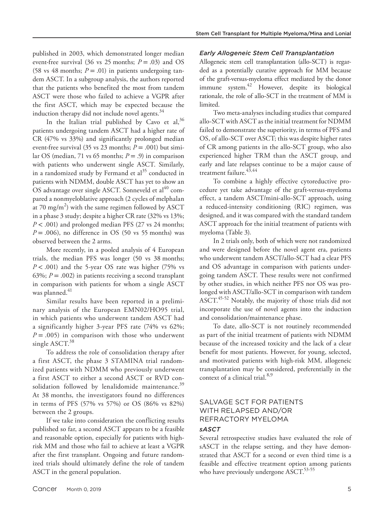published in 2003, which demonstrated longer median event-free survival (36 vs 25 months; *P* = .03) and OS (58 vs 48 months;  $P = .01$ ) in patients undergoing tandem ASCT. In a subgroup analysis, the authors reported that the patients who benefited the most from tandem ASCT were those who failed to achieve a VGPR after the first ASCT, which may be expected because the induction therapy did not include novel agents.<sup>34</sup>

In the Italian trial published by Cavo et al,  $36$ patients undergoing tandem ASCT had a higher rate of CR (47% vs 33%) and significantly prolonged median event-free survival (35 vs 23 months;  $P = .001$ ) but similar OS (median, 71 vs 65 months;  $P = .9$ ) in comparison with patients who underwent single ASCT. Similarly, in a randomized study by Fermand et  $al<sup>35</sup>$  conducted in patients with NDMM, double ASCT has yet to show an  $\rm{OS}$  advantage over single ASCT. Sonneveld et al $^{40}$  compared a nonmyeloblative approach (2 cycles of melphalan at 70 mg/m $^2$ ) with the same regimen followed by ASCT in a phase 3 study; despite a higher CR rate (32% vs 13%; *P* < .001) and prolonged median PFS (27 vs 24 months;  $P = .006$ ), no difference in OS (50 vs 55 months) was observed between the 2 arms.

More recently, in a pooled analysis of 4 European trials, the median PFS was longer (50 vs 38 months; *P* < .001) and the 5-year OS rate was higher (75% vs 63%;  $P = .002$ ) in patients receiving a second transplant in comparison with patients for whom a single ASCT was planned.<sup>41</sup>

Similar results have been reported in a preliminary analysis of the European EMN02/HO95 trial, in which patients who underwent tandem ASCT had a significantly higher 3-year PFS rate (74% vs 62%;  $P = .005$ ) in comparison with those who underwent single ASCT. $38$ 

To address the role of consolidation therapy after a first ASCT, the phase 3 STAMINA trial randomized patients with NDMM who previously underwent a first ASCT to either a second ASCT or RVD consolidation followed by lenalidomide maintenance. $39$ At 38 months, the investigators found no differences in terms of PFS (57% vs 57%) or OS (86% vs 82%) between the 2 groups.

If we take into consideration the conflicting results published so far, a second ASCT appears to be a feasible and reasonable option, especially for patients with highrisk MM and those who fail to achieve at least a VGPR after the first transplant. Ongoing and future randomized trials should ultimately define the role of tandem ASCT in the general population.

# *Early Allogeneic Stem Cell Transplantation*

Allogeneic stem cell transplantation (allo-SCT) is regarded as a potentially curative approach for MM because of the graft-versus-myeloma effect mediated by the donor immune system.42 However, despite its biological rationale, the role of allo-SCT in the treatment of MM is limited.

Two meta-analyses including studies that compared allo-SCT with ASCT as the initial treatment for NDMM failed to demonstrate the superiority, in terms of PFS and OS, of allo-SCT over ASCT; this was despite higher rates of CR among patients in the allo-SCT group, who also experienced higher TRM than the ASCT group, and early and late relapses continue to be a major cause of treatment failure.  $4\overline{3},44$ 

To combine a highly effective cytoreductive procedure yet take advantage of the graft-versus-myeloma effect, a tandem ASCT/mini-allo-SCT approach, using a reduced-intensity conditioning (RIC) regimen, was designed, and it was compared with the standard tandem ASCT approach for the initial treatment of patients with myeloma (Table 3).

In 2 trials only, both of which were not randomized and were designed before the novel agent era, patients who underwent tandem ASCT/allo-SCT had a clear PFS and OS advantage in comparison with patients undergoing tandem ASCT. These results were not confirmed by other studies, in which neither PFS nor OS was prolonged with ASCT/allo-SCT in comparison with tandem ASCT. $45-52$  Notably, the majority of those trials did not incorporate the use of novel agents into the induction and consolidation/maintenance phase.

To date, allo-SCT is not routinely recommended as part of the initial treatment of patients with NDMM because of the increased toxicity and the lack of a clear benefit for most patients. However, for young, selected, and motivated patients with high-risk MM, allogeneic transplantation may be considered, preferentially in the context of a clinical trial. $8,9$ 

# SALVAGE SCT FOR PATIENTS WITH RELAPSED AND/OR REFRACTORY MYELOMA

# *sASCT*

Several retrospective studies have evaluated the role of sASCT in the relapse setting, and they have demonstrated that ASCT for a second or even third time is a feasible and effective treatment option among patients who have previously undergone ASCT.<sup>53-55</sup>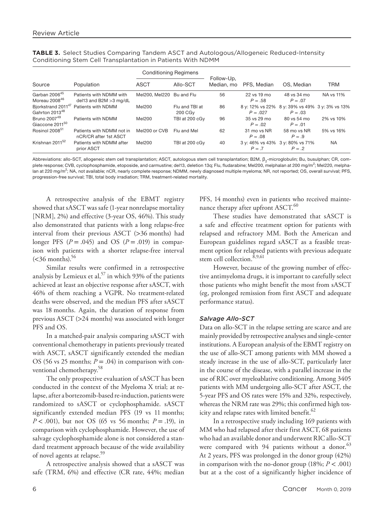|                                                              |                                                      | <b>Conditioning Regimens</b> |                                       |                          |                          |                                                             |            |
|--------------------------------------------------------------|------------------------------------------------------|------------------------------|---------------------------------------|--------------------------|--------------------------|-------------------------------------------------------------|------------|
| Source                                                       | Population                                           | <b>ASCT</b>                  | Allo-SCT                              | Follow-Up.<br>Median, mo | PFS. Median              | OS, Median                                                  | <b>TRM</b> |
| Garban 2006 <sup>45</sup><br>Moreau 2008 <sup>46</sup>       | Patients with NDMM with<br>del13 and B2M $>$ 3 mg/dL | Mel200, Mel220               | Bu and Flu                            | 56                       | 22 vs 19 mo<br>$P = .58$ | 48 vs 34 mo<br>$P = .07$                                    | NA vs 11%  |
| Bjorkstrand 2011 <sup>47</sup><br>Gahrton 2013 <sup>48</sup> | Patients with NDMM                                   | Mel200                       | Flu and TBI at<br>200 CG <sub>V</sub> | 86                       | $P = .027$               | 8 y: 12% vs 22% 8 y: 39% vs 49% 3 y: 3% vs 13%<br>$P = .03$ |            |
| Bruno 2007 <sup>49</sup><br>Giaccone 2011 <sup>50</sup>      | Patients with NDMM                                   | Mel200                       | TBI at 200 cGv                        | 96                       | 35 ys 29 mo<br>$P = .02$ | 80 ys 54 mo<br>$P = .01$                                    | 2% vs 10%  |
| Rosinol 2008 <sup>51</sup>                                   | Patients with NDMM not in<br>nCR/CR after 1st ASCT   | Mel200 or CVB                | Flu and Mel                           | 62                       | 31 mo vs NR<br>$P = .08$ | 58 mo ys NR<br>$P=.9$                                       | 5% vs 16%  |
| Krishnan 2011 <sup>52</sup>                                  | Patients with NDMM after<br>prior ASCT               | Mel200                       | TBI at 200 cGy                        | 40                       | $P = 7$                  | 3 y: 46% vs 43% 3 y: 80% vs 71%<br>$P = 2$                  | <b>NA</b>  |

**TABLE 3.** Select Studies Comparing Tandem ASCT and Autologous/Allogeneic Reduced-Intensity Conditioning Stem Cell Transplantation in Patients With NDMM

Abbreviations: allo-SCT, allogeneic stem cell transplantation; ASCT, autologous stem cell transplantation; B2M, β<sub>2</sub>-microglobulin; Bu, busulphan; CR, complete response; CVB, cyclophosphamide, etoposide, and carmustine; del13, deletion 13q; Flu, fludarabine; Mel200, melphalan at 200 mg/m<sup>2</sup>; Mel220, melphalan at 220 mg/m<sup>2</sup>; NA, not available; nCR, nearly complete response; NDMM, newly diagnosed multiple myeloma; NR, not reported; OS, overall survival; PFS, progression-free survival; TBI, total body irradiation; TRM, treatment-related mortality.

A retrospective analysis of the EBMT registry showed that sASCT was safe (1-year nonrelapse mortality [NRM], 2%) and effective (3-year OS, 46%). This study also demonstrated that patients with a long relapse-free interval from their previous ASCT (>36 months) had longer PFS  $(P = .045)$  and OS  $(P = .019)$  in comparison with patients with a shorter relapse-free interval  $(<$ 36 months).<sup>56</sup>

Similar results were confirmed in a retrospective analysis by Lemieux et al,  $57$  in which 93% of the patients achieved at least an objective response after sASCT, with 46% of them reaching a VGPR. No treatment-related deaths were observed, and the median PFS after sASCT was 18 months. Again, the duration of response from previous ASCT (>24 months) was associated with longer PFS and OS.

In a matched-pair analysis comparing sASCT with conventional chemotherapy in patients previously treated with ASCT, sASCT significantly extended the median OS (56 vs 25 months;  $P = .04$ ) in comparison with conventional chemotherapy.<sup>58</sup>

The only prospective evaluation of sASCT has been conducted in the context of the Myeloma X trial; at relapse, after a bortezomib-based re-induction, patients were randomized to sASCT or cyclophosphamide. sASCT significantly extended median PFS (19 vs 11 months; *P* < .001), but not OS (65 vs 56 months; *P* = .19), in comparison with cyclophosphamide. However, the use of salvage cyclophosphamide alone is not considered a standard treatment approach because of the wide availability of novel agents at relapse.<sup>59</sup>

A retrospective analysis showed that a sASCT was safe (TRM, 6%) and effective (CR rate, 44%; median

PFS, 14 months) even in patients who received maintenance therapy after upfront ASCT.<sup>60</sup>

These studies have demonstrated that sASCT is a safe and effective treatment option for patients with relapsed and refractory MM. Both the American and European guidelines regard sASCT as a feasible treatment option for relapsed patients with previous adequate stem cell collection.<sup>8,9,61</sup>

However, because of the growing number of effective antimyeloma drugs, it is important to carefully select those patients who might benefit the most from sASCT (eg, prolonged remission from first ASCT and adequate performance status).

#### *Salvage Allo-SCT*

Data on allo-SCT in the relapse setting are scarce and are mainly provided by retrospective analyses and single-center institutions. A European analysis of the EBMT registry on the use of allo-SCT among patients with MM showed a steady increase in the use of allo-SCT, particularly later in the course of the disease, with a parallel increase in the use of RIC over myeloablative conditioning. Among 3405 patients with MM undergoing allo-SCT after ASCT, the 5-year PFS and OS rates were 15% and 32%, respectively, whereas the NRM rate was 29%; this confirmed high toxicity and relapse rates with limited benefit.<sup>62</sup>

In a retrospective study including 169 patients with MM who had relapsed after their first ASCT, 68 patients who had an available donor and underwent RIC allo-SCT were compared with 94 patients without a donor.<sup>63</sup> At 2 years, PFS was prolonged in the donor group (42%) in comparison with the no-donor group  $(18\%; P < .001)$ but at a the cost of a significantly higher incidence of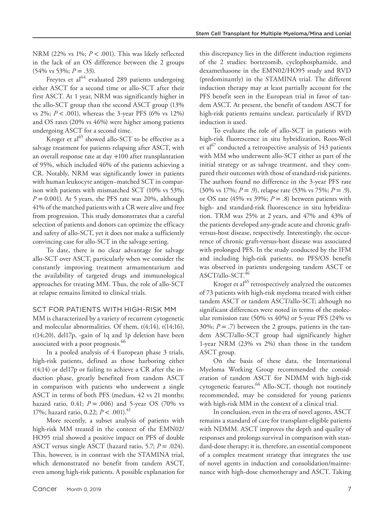NRM (22% vs 1%; *P* < .001). This was likely reflected in the lack of an OS difference between the 2 groups  $(54\% \text{ vs } 53\%; P = .33).$ 

Freytes et al<sup>64</sup> evaluated 289 patients undergoing either ASCT for a second time or allo-SCT after their first ASCT. At 1 year, NRM was significantly higher in the allo-SCT group than the second ASCT group (13% vs 2%; *P* < .001), whereas the 3-year PFS (6% vs 12%) and OS rates (20% vs 46%) were higher among patients undergoing ASCT for a second time.

Kroger et al<sup>65</sup> showed allo-SCT to be effective as a salvage treatment for patients relapsing after ASCT, with an overall response rate at day +100 after transplantation of 95%, which included 46% of the patients achieving a CR. Notably, NRM was significantly lower in patients with human leukocyte antigen–matched SCT in comparison with patients with mismatched SCT (10% vs 53%;  $P = 0.001$ ). At 5 years, the PFS rate was 20%, although 41% of the matched patients with a CR were alive and free from progression. This study demonstrates that a careful selection of patients and donors can optimize the efficacy and safety of allo-SCT, yet it does not make a sufficiently convincing case for allo-SCT in the salvage setting.

To date, there is no clear advantage for salvage allo-SCT over ASCT, particularly when we consider the constantly improving treatment armamentarium and the availability of targeted drugs and immunological approaches for treating MM. Thus, the role of allo-SCT at relapse remains limited to clinical trials.

# SCT FOR PATIENTS WITH HIGH-RISK MM

MM is characterized by a variety of recurrent cytogenetic and molecular abnormalities. Of them,  $t(4;14)$ ,  $t(14;16)$ , t(14;20), del17p, -gain of 1q and 1p deletion have been associated with a poor prognosis.<sup>66</sup>

In a pooled analysis of 4 European phase 3 trials, high-risk patients, defined as those harboring either t(4;14) or del17p or failing to achieve a CR after the induction phase, greatly benefited from tandem ASCT in comparison with patients who underwent a single ASCT in terms of both PFS (median, 42 vs 21 months; hazard ratio, 0.41; *P* = .006) and 5-year OS (70% vs 17%; hazard ratio, 0.22; *P* < .001).41

More recently, a subset analysis of patients with high-risk MM treated in the context of the EMN02/ HO95 trial showed a positive impact on PFS of double ASCT versus single ASCT (hazard ratio, 5.7; *P* = .024). This, however, is in contrast with the STAMINA trial, which demonstrated no benefit from tandem ASCT, even among high-risk patients. A possible explanation for

this discrepancy lies in the different induction regimens of the 2 studies: bortezomib, cyclophosphamide, and dexamethasone in the EMN02/HO95 study and RVD (predominantly) in the STAMINA trial. The different induction therapy may at least partially account for the PFS benefit seen in the European trial in favor of tandem ASCT. At present, the benefit of tandem ASCT for high-risk patients remains unclear, particularly if RVD induction is used.

To evaluate the role of allo-SCT in patients with high-risk fluorescence in situ hybridization, Roos-Weil et al<sup> $67$ </sup> conducted a retrospective analysis of 143 patients with MM who underwent allo-SCT either as part of the initial strategy or as salvage treatment, and they compared their outcomes with those of standard-risk patients. The authors found no difference in the 3-year PFS rate (30% vs 17%; *P* = .9), relapse rate (53% vs 75%; *P* = .9), or OS rate (45% vs 39%;  $P = .8$ ) between patients with high- and standard-risk fluorescence in situ hybridization. TRM was 25% at 2 years, and 47% and 43% of the patients developed any-grade acute and chronic graftversus-host disease, respectively. Interestingly, the occurrence of chronic graft-versus-host disease was associated with prolonged PFS. In the study conducted by the IFM and including high-risk patients, no PFS/OS benefit was observed in patients undergoing tandem ASCT or ASCT/allo-SCT.<sup>46</sup>

Kroger et al<sup>65</sup> retrospectively analyzed the outcomes of 73 patients with high-risk myeloma treated with either tandem ASCT or tandem ASCT/allo-SCT; although no significant differences were noted in terms of the molecular remission rate (50% vs 40%) or 5-year PFS (24% vs 30%;  $P = .7$ ) between the 2 groups, patients in the tandem ASCT/allo-SCT group had significantly higher 1-year NRM (23% vs 2%) than those in the tandem ASCT group.

On the basis of these data, the International Myeloma Working Group recommended the consideration of tandem ASCT for NDMM with high-risk cytogenetic features.<sup>66</sup> Allo-SCT, though not routinely recommended, may be considered for young patients with high-risk MM in the context of a clinical trial.

In conclusion, even in the era of novel agents, ASCT remains a standard of care for transplant-eligible patients with NDMM. ASCT improves the depth and quality of responses and prolongs survival in comparison with standard-dose therapy; it is, therefore, an essential component of a complex treatment strategy that integrates the use of novel agents in induction and consolidation/maintenance with high-dose chemotherapy and ASCT. Taking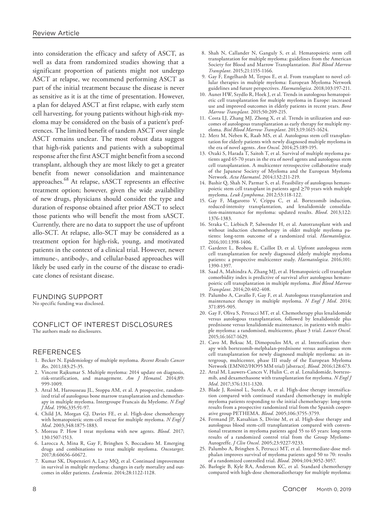into consideration the efficacy and safety of ASCT, as well as data from randomized studies showing that a significant proportion of patients might not undergo ASCT at relapse, we recommend performing ASCT as part of the initial treatment because the disease is never as sensitive as it is at the time of presentation. However, a plan for delayed ASCT at first relapse, with early stem cell harvesting, for young patients without high-risk myeloma may be considered on the basis of a patient's preferences. The limited benefit of tandem ASCT over single ASCT remains unclear. The most robust data suggest that high-risk patients and patients with a suboptimal response after the first ASCT might benefit from a second transplant, although they are most likely to get a greater benefit from newer consolidation and maintenance approaches.68 At relapse, sASCT represents an effective treatment option; however, given the wide availability of new drugs, physicians should consider the type and duration of response obtained after prior ASCT to select those patients who will benefit the most from sASCT. Currently, there are no data to support the use of upfront allo-SCT. At relapse, allo-SCT may be considered as a treatment option for high-risk, young, and motivated patients in the context of a clinical trial. However, newer immune-, antibody-, and cellular-based approaches will likely be used early in the course of the disease to eradicate clones of resistant disease.

FUNDING SUPPORT

No specific funding was disclosed.

#### CONFLICT OF INTEREST DISCLOSURES The authors made no disclosures.

#### REFERENCES

- 1. Becker N. Epidemiology of multiple myeloma. *Recent Results Cancer Res*. 2011;183:25-35.
- 2. Vincent Rajkumar S. Multiple myeloma: 2014 update on diagnosis, risk-stratification, and management. *Am J Hematol*. 2014;89: 999-1009.
- 3. Attal M, Harousseau JL, Stoppa AM, et al. A prospective, randomized trial of autologous bone marrow transplantation and chemotherapy in multiple myeloma. Intergroupe Francais du Myelome. *N Engl J Med*. 1996;335:91-97.
- 4. Child JA, Morgan GJ, Davies FE, et al. High-dose chemotherapy with hematopoietic stem-cell rescue for multiple myeloma. *N Engl J Med*. 2003;348:1875-1883.
- 5. Moreau P. How I treat myeloma with new agents. *Blood*. 2017; 130:1507-1513.
- 6. Larocca A, Mina R, Gay F, Bringhen S, Boccadoro M. Emerging drugs and combinations to treat multiple myeloma. *Oncotarget*. 2017;8:60656-60672.
- 7. Kumar SK, Dispenzieri A, Lacy MQ, et al. Continued improvement in survival in multiple myeloma: changes in early mortality and outcomes in older patients. *Leukemia*. 2014;28:1122-1128.
- 8. Shah N, Callander N, Ganguly S, et al. Hematopoietic stem cell transplantation for multiple myeloma: guidelines from the American Society for Blood and Marrow Transplantation. *Biol Blood Marrow Transplant*. 2015;21:1155-1166.
- 9. Gay F, Engelhardt M, Terpos E, et al. From transplant to novel cellular therapies in multiple myeloma: European Myeloma Network guidelines and future perspectives. *Haematologica*. 2018;103:197-211.
- 10. Auner HW, Szydlo R, Hoek J, et al. Trends in autologous hematopoietic cell transplantation for multiple myeloma in Europe: increased use and improved outcomes in elderly patients in recent years. *Bone Marrow Transplant*. 2015;50:209-215.
- 11. Costa LJ, Zhang MJ, Zhong X, et al. Trends in utilization and outcomes of autologous transplantation as early therapy for multiple myeloma. *Biol Blood Marrow Transplant*. 2013;19:1615-1624.
- 12. Merz M, Neben K, Raab MS, et al. Autologous stem cell transplantation for elderly patients with newly diagnosed multiple myeloma in the era of novel agents. *Ann Oncol*. 2014;25:189-195.
- 13. Ozaki S, Harada T, Saitoh T, et al. Survival of multiple myeloma patients aged 65-70 years in the era of novel agents and autologous stem cell transplantation. A multicenter retrospective collaborative study of the Japanese Society of Myeloma and the European Myeloma Network. *Acta Haematol*. 2014;132:211-219.
- 14. Bashir Q, Shah N, Parmar S, et al. Feasibility of autologous hematopoietic stem cell transplant in patients aged ≥70 years with multiple myeloma. *Leuk Lymphoma*. 2012;53:118-122.
- 15. Gay F, Magarotto V, Crippa C, et al. Bortezomib induction, reduced-intensity transplantation, and lenalidomide consolidation-maintenance for myeloma: updated results. *Blood*. 2013;122: 1376-1383.
- 16. Straka C, Liebisch P, Salwender H, et al. Autotransplant with and without induction chemotherapy in older multiple myeloma patients: long-term outcome of a randomized trial. *Haematologica*. 2016;101:1398-1406.
- 17. Garderet L, Beohou E, Caillot D, et al. Upfront autologous stem cell transplantation for newly diagnosed elderly multiple myeloma patients: a prospective multicenter study. *Haematologica*. 2016;101: 1390-1397.
- 18. Saad A, Mahindra A, Zhang MJ, et al. Hematopoietic cell transplant comorbidity index is predictive of survival after autologous hematopoietic cell transplantation in multiple myeloma. *Biol Blood Marrow Transplant*. 2014;20:402-408.
- 19. Palumbo A, Cavallo F, Gay F, et al. Autologous transplantation and maintenance therapy in multiple myeloma. *N Engl J Med*. 2014; 371:895-905.
- 20. Gay F, Oliva S, Petrucci MT, et al. Chemotherapy plus lenalidomide versus autologous transplantation, followed by lenalidomide plus prednisone versus lenalidomide maintenance, in patients with multiple myeloma: a randomised, multicentre, phase 3 trial. *Lancet Oncol*. 2015;16:1617-1629.
- 21. Cavo M, Beksac M, Dimopoulos MA, et al. Intensification therapy with bortezomib-melphalan-prednisone versus autologous stem cell transplantation for newly diagnosed multiple myeloma: an intergroup, multicenter, phase III study of the European Myeloma Network (EMN02/HO95 MM trial) [abstract]. *Blood*. 2016;128:673.
- 22. Attal M, Lauwers-Cances V, Hulin C, et al. Lenalidomide, bortezomib, and dexamethasone with transplantation for myeloma. *N Engl J Med*. 2017;376:1311-1320.
- 23. Blade J, Rosinol L, Sureda A, et al. High-dose therapy intensification compared with continued standard chemotherapy in multiple myeloma patients responding to the initial chemotherapy: long-term results from a prospective randomized trial from the Spanish cooperative group PETHEMA. *Blood*. 2005;106:3755-3759.
- 24. Fermand JP, Katsahian S, Divine M, et al. High-dose therapy and autologous blood stem-cell transplantation compared with conventional treatment in myeloma patients aged 55 to 65 years: long-term results of a randomized control trial from the Group Myelome-Autogreffe. *J Clin Oncol*. 2005;23:9227-9233.
- 25. Palumbo A, Bringhen S, Petrucci MT, et al. Intermediate-dose melphalan improves survival of myeloma patients aged 50 to 70: results of a randomized controlled trial. *Blood*. 2004;104:3052-3057.
- 26. Barlogie B, Kyle RA, Anderson KC, et al. Standard chemotherapy compared with high-dose chemoradiotherapy for multiple myeloma: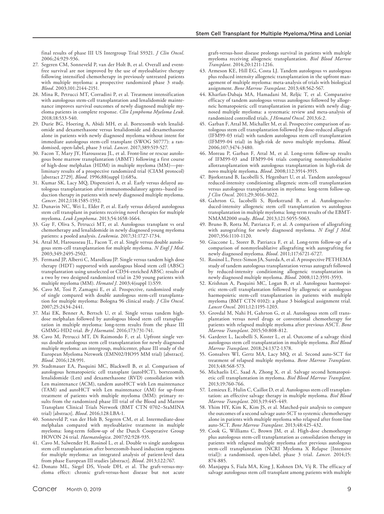final results of phase III US Intergroup Trial S9321. *J Clin Oncol*. 2006;24:929-936.

- 27. Segeren CM, Sonneveld P, van der Holt B, et al. Overall and eventfree survival are not improved by the use of myeloablative therapy following intensified chemotherapy in previously untreated patients with multiple myeloma: a prospective randomized phase 3 study. *Blood*. 2003;101:2144-2151.
- 28. Mina R, Petrucci MT, Corradini P, et al. Treatment intensification with autologous stem-cell transplantation and lenalidomide maintenance improves survival outcomes of newly diagnosed multiple myeloma patients in complete response. *Clin Lymphoma Myeloma Leuk*. 2018;18:533-540.
- 29. Durie BG, Hoering A, Abidi MH, et al. Bortezomib with lenalidomide and dexamethasone versus lenalidomide and dexamethasone alone in patients with newly diagnosed myeloma without intent for immediate autologous stem-cell transplant (SWOG S0777): a randomised, open-label, phase 3 trial. *Lancet*. 2017;389:519-527.
- 30. Facon T, Mary JY, Harousseau JL, et al. Front-line or rescue autologous bone marrow transplantation (ABMT) following a first course of high-dose melphalan (HDM) in multiple myeloma (MM)—preliminary results of a prospective randomized trial (CIAM protocol) [abstract 2729]. *Blood*. 1996;88(suppl 1):685a.
- 31. Kumar SK, Lacy MQ, Dispenzieri A, et al. Early versus delayed autologous transplantation after immunomodulatory agents–based induction therapy in patients with newly diagnosed multiple myeloma. *Cancer*. 2012;118:1585-1592.
- 32. Dunavin NC, Wei L, Elder P, et al. Early versus delayed autologous stem cell transplant in patients receiving novel therapies for multiple myeloma. *Leuk Lymphoma*. 2013;54:1658-1664.
- 33. Gay F, Oliva S, Petrucci MT, et al. Autologous transplant vs oral chemotherapy and lenalidomide in newly diagnosed young myeloma patients: a pooled analysis. *Leukemia*. 2017;31:1727-1734.
- 34. Attal M, Harousseau JL, Facon T, et al. Single versus double autologous stem-cell transplantation for multiple myeloma. *N Engl J Med*. 2003;349:2495-2502.
- 35. Fermand JP, Alberti C, Marolleau JP. Single versus tandem high dose therapy (HDT) supported with autologous blood stem cell (ABSC) transplantation using unselected or CD34-enriched ABSC: results of a two by two designed randomized trial in 230 young patients with multiple myeloma (MM). *Hematol J*. 2003;4(suppl 1):S59.
- 36. Cavo M, Tosi P, Zamagni E, et al. Prospective, randomized study of single compared with double autologous stem-cell transplantation for multiple myeloma: Bologna 96 clinical study. *J Clin Oncol*. 2007;25:2434-2441.
- 37. Mai EK, Benner A, Bertsch U, et al. Single versus tandem highdose melphalan followed by autologous blood stem cell transplantation in multiple myeloma: long-term results from the phase III GMMG-HD2 trial. *Br J Haematol*. 2016;173:731-741.
- 38. Cavo M, Petrucci MT, Di Raimondo F, et al. Upfront single versus double autologous stem cell transplantation for newly diagnosed multiple myeloma: an intergroup, multicenter, phase III study of the European Myeloma Network (EMN02/HO95 MM trial) [abstract]. *Blood*. 2016;128:991.
- 39. Stadtmauer EA, Pasquini MC, Blackwell B, et al. Comparison of autologous hematopoietic cell transplant (autoHCT), bortezomib, lenalidomide (Len) and dexamethasone (RVD) consolidation with Len maintenance (ACM), tandem autoHCT with Len maintenance (TAM) and autoHCT with Len maintenance (AM) for up-front treatment of patients with multiple myeloma (MM): primary results from the randomized phase III trial of the Blood and Marrow Transplant Clinical Trials Network (BMT CTN 0702–StaMINA trial) [abstract]. *Blood*. 2016;128:LBA-1.
- 40. Sonneveld P, van der Holt B, Segeren CM, et al. Intermediate-dose melphalan compared with myeloablative treatment in multiple myeloma: long-term follow-up of the Dutch Cooperative Group HOVON 24 trial. *Haematologica*. 2007;92:928-935.
- 41. Cavo M, Salwender H, Rosinol L, et al. Double vs single autologous stem cell transplantation after bortezomib-based induction regimens for multiple myeloma: an integrated analysis of patient-level data from phase European III studies [abstract]. *Blood*. 2013;122:767.
- 42. Donato ML, Siegel DS, Vesole DH, et al. The graft-versus-myeloma effect: chronic graft-versus-host disease but not acute

graft-versus-host disease prolongs survival in patients with multiple myeloma receiving allogeneic transplantation. *Biol Blood Marrow Transplant*. 2014;20:1211-1216.

- 43. Armeson KE, Hill EG, Costa LJ. Tandem autologous vs autologous plus reduced intensity allogeneic transplantation in the upfront management of multiple myeloma: meta-analysis of trials with biological assignment. *Bone Marrow Transplant*. 2013;48:562-567.
- 44. Kharfan-Dabaja MA, Hamadani M, Reljic T, et al. Comparative efficacy of tandem autologous versus autologous followed by allogeneic hematopoietic cell transplantation in patients with newly diagnosed multiple myeloma: a systematic review and meta-analysis of randomized controlled trials. *J Hematol Oncol*. 2013;6:2.
- 45. Garban F, Attal M, Michallet M, et al. Prospective comparison of autologous stem cell transplantation followed by dose-reduced allograft (IFM99-03 trial) with tandem autologous stem cell transplantation (IFM99-04 trial) in high-risk de novo multiple myeloma. *Blood*. 2006;107:3474-3480.
- 46. Moreau P, Garban F, Attal M, et al. Long-term follow-up results of IFM99-03 and IFM99-04 trials comparing nonmyeloablative allotransplantation with autologous transplantation in high-risk de novo multiple myeloma. *Blood*. 2008;112:3914-3915.
- 47. Bjorkstrand B, Iacobelli S, Hegenbart U, et al. Tandem autologous/ reduced-intensity conditioning allogeneic stem-cell transplantation versus autologous transplantation in myeloma: long-term follow-up. *J Clin Oncol*. 2011;29:3016-3022.
- 48. Gahrton G, Iacobelli S, Bjorkstrand B, et al. Autologous/reduced-intensity allogeneic stem cell transplantation vs autologous transplantation in multiple myeloma: long-term results of the EBMT-NMAM2000 study. *Blood*. 2013;121:5055-5063.
- 49. Bruno B, Rotta M, Patriarca F, et al. A comparison of allografting with autografting for newly diagnosed myeloma. *N Engl J Med*. 2007;356:1110-1120.
- 50. Giaccone L, Storer B, Patriarca F, et al. Long-term follow-up of a comparison of nonmyeloablative allografting with autografting for newly diagnosed myeloma. *Blood*. 2011;117:6721-6727.
- 51. Rosinol L, Perez-Simon JA, Sureda A, et al. A prospective PETHEMA study of tandem autologous transplantation versus autograft followed by reduced-intensity conditioning allogeneic transplantation in newly diagnosed multiple myeloma. *Blood*. 2008;112:3591-3593.
- 52. Krishnan A, Pasquini MC, Logan B, et al. Autologous haemopoietic stem-cell transplantation followed by allogeneic or autologous haemopoietic stem-cell transplantation in patients with multiple myeloma (BMT CTN 0102): a phase 3 biological assignment trial. *Lancet Oncol*. 2011;12:1195-1203.
- 53. Grovdal M, Nahi H, Gahrton G, et al. Autologous stem cell transplantation versus novel drugs or conventional chemotherapy for patients with relapsed multiple myeloma after previous ASCT. *Bone Marrow Transplant*. 2015;50:808-812.
- 54. Garderet L, Iacobelli S, Koster L, et al. Outcome of a salvage third autologous stem cell transplantation in multiple myeloma. *Biol Blood Marrow Transplant*. 2018;24:1372-1378.
- 55. Gonsalves WI, Gertz MA, Lacy MQ, et al. Second auto-SCT for treatment of relapsed multiple myeloma. *Bone Marrow Transplant*. 2013;48:568-573.
- 56. Michaelis LC, Saad A, Zhong X, et al. Salvage second hematopoietic cell transplantation in myeloma. *Biol Blood Marrow Transplant*. 2013;19:760-766.
- 57. Lemieux E, Hulin C, Caillot D, et al. Autologous stem cell transplantation: an effective salvage therapy in multiple myeloma. *Biol Blood Marrow Transplant*. 2013;19:445-449.
- 58. Yhim HY, Kim K, Kim JS, et al. Matched-pair analysis to compare the outcomes of a second salvage auto-SCT to systemic chemotherapy alone in patients with multiple myeloma who relapsed after front-line auto-SCT. *Bone Marrow Transplant*. 2013;48:425-432.
- 59. Cook G, Williams C, Brown JM, et al. High-dose chemotherapy plus autologous stem-cell transplantation as consolidation therapy in patients with relapsed multiple myeloma after previous autologous stem-cell transplantation (NCRI Myeloma X Relapse [Intensive trial]): a randomised, open-label, phase 3 trial. *Lancet*. 2014;15: 874-885.
- 60. Manjappa S, Fiala MA, King J, Kohnen DA, Vij R. The efficacy of salvage autologous stem cell transplant among patients with multiple